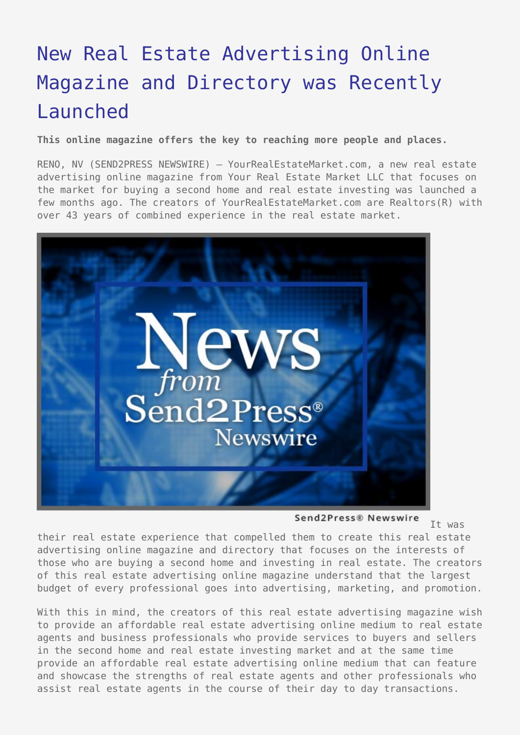## [New Real Estate Advertising Online](https://www.send2press.com/wire/2005-11-1115-007/) [Magazine and Directory was Recently](https://www.send2press.com/wire/2005-11-1115-007/) [Launched](https://www.send2press.com/wire/2005-11-1115-007/)

**This online magazine offers the key to reaching more people and places.**

RENO, NV (SEND2PRESS NEWSWIRE) — YourRealEstateMarket.com, a new real estate advertising online magazine from Your Real Estate Market LLC that focuses on the market for buying a second home and real estate investing was launched a few months ago. The creators of YourRealEstateMarket.com are Realtors(R) with over 43 years of combined experience in the real estate market.



Send2Press® Newswire

It was

their real estate experience that compelled them to create this real estate advertising online magazine and directory that focuses on the interests of those who are buying a second home and investing in real estate. The creators of this real estate advertising online magazine understand that the largest budget of every professional goes into advertising, marketing, and promotion.

With this in mind, the creators of this real estate advertising magazine wish to provide an affordable real estate advertising online medium to real estate agents and business professionals who provide services to buyers and sellers in the second home and real estate investing market and at the same time provide an affordable real estate advertising online medium that can feature and showcase the strengths of real estate agents and other professionals who assist real estate agents in the course of their day to day transactions.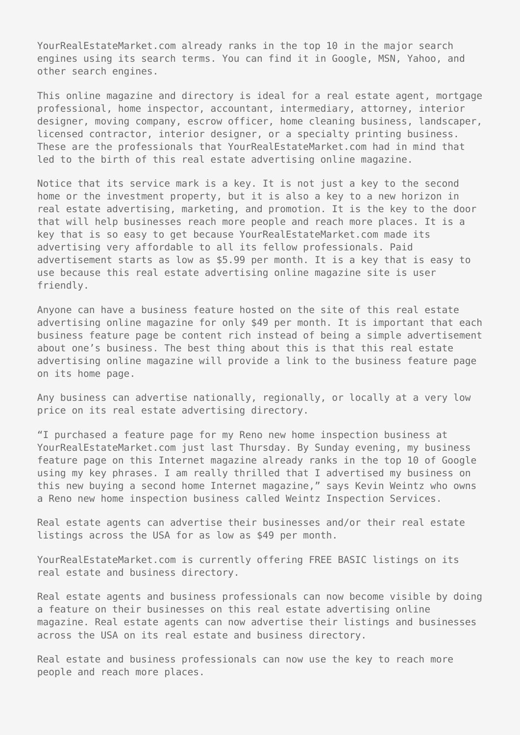YourRealEstateMarket.com already ranks in the top 10 in the major search engines using its search terms. You can find it in Google, MSN, Yahoo, and other search engines.

This online magazine and directory is ideal for a real estate agent, mortgage professional, home inspector, accountant, intermediary, attorney, interior designer, moving company, escrow officer, home cleaning business, landscaper, licensed contractor, interior designer, or a specialty printing business. These are the professionals that YourRealEstateMarket.com had in mind that led to the birth of this real estate advertising online magazine.

Notice that its service mark is a key. It is not just a key to the second home or the investment property, but it is also a key to a new horizon in real estate advertising, marketing, and promotion. It is the key to the door that will help businesses reach more people and reach more places. It is a key that is so easy to get because YourRealEstateMarket.com made its advertising very affordable to all its fellow professionals. Paid advertisement starts as low as \$5.99 per month. It is a key that is easy to use because this real estate advertising online magazine site is user friendly.

Anyone can have a business feature hosted on the site of this real estate advertising online magazine for only \$49 per month. It is important that each business feature page be content rich instead of being a simple advertisement about one's business. The best thing about this is that this real estate advertising online magazine will provide a link to the business feature page on its home page.

Any business can advertise nationally, regionally, or locally at a very low price on its real estate advertising directory.

"I purchased a feature page for my Reno new home inspection business at YourRealEstateMarket.com just last Thursday. By Sunday evening, my business feature page on this Internet magazine already ranks in the top 10 of Google using my key phrases. I am really thrilled that I advertised my business on this new buying a second home Internet magazine," says Kevin Weintz who owns a Reno new home inspection business called Weintz Inspection Services.

Real estate agents can advertise their businesses and/or their real estate listings across the USA for as low as \$49 per month.

YourRealEstateMarket.com is currently offering FREE BASIC listings on its real estate and business directory.

Real estate agents and business professionals can now become visible by doing a feature on their businesses on this real estate advertising online magazine. Real estate agents can now advertise their listings and businesses across the USA on its real estate and business directory.

Real estate and business professionals can now use the key to reach more people and reach more places.